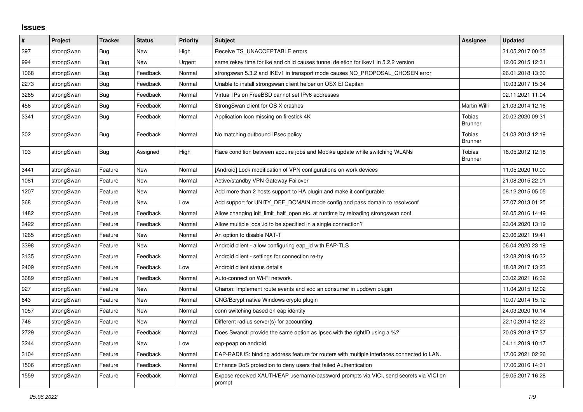## **Issues**

| #    | Project    | <b>Tracker</b> | <b>Status</b> | Priority | <b>Subject</b>                                                                                   | <b>Assignee</b>          | <b>Updated</b>   |
|------|------------|----------------|---------------|----------|--------------------------------------------------------------------------------------------------|--------------------------|------------------|
| 397  | strongSwan | Bug            | <b>New</b>    | High     | Receive TS UNACCEPTABLE errors                                                                   |                          | 31.05.2017 00:35 |
| 994  | strongSwan | Bug            | New           | Urgent   | same rekey time for ike and child causes tunnel deletion for ikev1 in 5.2.2 version              |                          | 12.06.2015 12:31 |
| 1068 | strongSwan | <b>Bug</b>     | Feedback      | Normal   | strongswan 5.3.2 and IKEv1 in transport mode causes NO PROPOSAL CHOSEN error                     |                          | 26.01.2018 13:30 |
| 2273 | strongSwan | <b>Bug</b>     | Feedback      | Normal   | Unable to install strongswan client helper on OSX El Capitan                                     |                          | 10.03.2017 15:34 |
| 3285 | strongSwan | Bug            | Feedback      | Normal   | Virtual IPs on FreeBSD cannot set IPv6 addresses                                                 |                          | 02.11.2021 11:04 |
| 456  | strongSwan | Bug            | Feedback      | Normal   | StrongSwan client for OS X crashes                                                               | Martin Willi             | 21.03.2014 12:16 |
| 3341 | strongSwan | <b>Bug</b>     | Feedback      | Normal   | Application Icon missing on firestick 4K                                                         | Tobias<br><b>Brunner</b> | 20.02.2020 09:31 |
| 302  | strongSwan | Bug            | Feedback      | Normal   | No matching outbound IPsec policy                                                                | Tobias<br><b>Brunner</b> | 01.03.2013 12:19 |
| 193  | strongSwan | Bug            | Assigned      | High     | Race condition between acquire jobs and Mobike update while switching WLANs                      | Tobias<br><b>Brunner</b> | 16.05.2012 12:18 |
| 3441 | strongSwan | Feature        | <b>New</b>    | Normal   | [Android] Lock modification of VPN configurations on work devices                                |                          | 11.05.2020 10:00 |
| 1081 | strongSwan | Feature        | New           | Normal   | Active/standby VPN Gateway Failover                                                              |                          | 21.08.2015 22:01 |
| 1207 | strongSwan | Feature        | New           | Normal   | Add more than 2 hosts support to HA plugin and make it configurable                              |                          | 08.12.2015 05:05 |
| 368  | strongSwan | Feature        | <b>New</b>    | Low      | Add support for UNITY DEF DOMAIN mode config and pass domain to resolvconf                       |                          | 27.07.2013 01:25 |
| 1482 | strongSwan | Feature        | Feedback      | Normal   | Allow changing init limit half open etc. at runtime by reloading strongswan.conf                 |                          | 26.05.2016 14:49 |
| 3422 | strongSwan | Feature        | Feedback      | Normal   | Allow multiple local id to be specified in a single connection?                                  |                          | 23.04.2020 13:19 |
| 1265 | strongSwan | Feature        | New           | Normal   | An option to disable NAT-T                                                                       |                          | 23.06.2021 19:41 |
| 3398 | strongSwan | Feature        | New           | Normal   | Android client - allow configuring eap_id with EAP-TLS                                           |                          | 06.04.2020 23:19 |
| 3135 | strongSwan | Feature        | Feedback      | Normal   | Android client - settings for connection re-try                                                  |                          | 12.08.2019 16:32 |
| 2409 | strongSwan | Feature        | Feedback      | Low      | Android client status details                                                                    |                          | 18.08.2017 13:23 |
| 3689 | strongSwan | Feature        | Feedback      | Normal   | Auto-connect on Wi-Fi network.                                                                   |                          | 03.02.2021 16:32 |
| 927  | strongSwan | Feature        | New           | Normal   | Charon: Implement route events and add an consumer in updown plugin                              |                          | 11.04.2015 12:02 |
| 643  | strongSwan | Feature        | New           | Normal   | CNG/Bcrypt native Windows crypto plugin                                                          |                          | 10.07.2014 15:12 |
| 1057 | strongSwan | Feature        | New           | Normal   | conn switching based on eap identity                                                             |                          | 24.03.2020 10:14 |
| 746  | strongSwan | Feature        | New           | Normal   | Different radius server(s) for accounting                                                        |                          | 22.10.2014 12:23 |
| 2729 | strongSwan | Feature        | Feedback      | Normal   | Does Swanctl provide the same option as Ipsec with the rightID using a %?                        |                          | 20.09.2018 17:37 |
| 3244 | strongSwan | Feature        | <b>New</b>    | Low      | eap-peap on android                                                                              |                          | 04.11.2019 10:17 |
| 3104 | strongSwan | Feature        | Feedback      | Normal   | EAP-RADIUS: binding address feature for routers with multiple interfaces connected to LAN.       |                          | 17.06.2021 02:26 |
| 1506 | strongSwan | Feature        | Feedback      | Normal   | Enhance DoS protection to deny users that failed Authentication                                  |                          | 17.06.2016 14:31 |
| 1559 | strongSwan | Feature        | Feedback      | Normal   | Expose received XAUTH/EAP username/password prompts via VICI, send secrets via VICI on<br>prompt |                          | 09.05.2017 16:28 |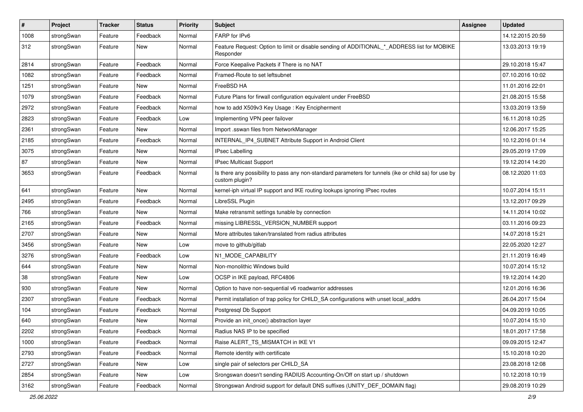| $\pmb{\#}$ | Project    | <b>Tracker</b> | <b>Status</b> | <b>Priority</b> | <b>Subject</b>                                                                                                          | Assignee | <b>Updated</b>   |
|------------|------------|----------------|---------------|-----------------|-------------------------------------------------------------------------------------------------------------------------|----------|------------------|
| 1008       | strongSwan | Feature        | Feedback      | Normal          | FARP for IPv6                                                                                                           |          | 14.12.2015 20:59 |
| 312        | strongSwan | Feature        | New           | Normal          | Feature Request: Option to limit or disable sending of ADDITIONAL * ADDRESS list for MOBIKE<br>Responder                |          | 13.03.2013 19:19 |
| 2814       | strongSwan | Feature        | Feedback      | Normal          | Force Keepalive Packets if There is no NAT                                                                              |          | 29.10.2018 15:47 |
| 1082       | strongSwan | Feature        | Feedback      | Normal          | Framed-Route to set leftsubnet                                                                                          |          | 07.10.2016 10:02 |
| 1251       | strongSwan | Feature        | New           | Normal          | FreeBSD HA                                                                                                              |          | 11.01.2016 22:01 |
| 1079       | strongSwan | Feature        | Feedback      | Normal          | Future Plans for firwall configuration equivalent under FreeBSD                                                         |          | 21.08.2015 15:58 |
| 2972       | strongSwan | Feature        | Feedback      | Normal          | how to add X509v3 Key Usage: Key Encipherment                                                                           |          | 13.03.2019 13:59 |
| 2823       | strongSwan | Feature        | Feedback      | Low             | Implementing VPN peer failover                                                                                          |          | 16.11.2018 10:25 |
| 2361       | strongSwan | Feature        | New           | Normal          | Import .sswan files from NetworkManager                                                                                 |          | 12.06.2017 15:25 |
| 2185       | strongSwan | Feature        | Feedback      | Normal          | INTERNAL_IP4_SUBNET Attribute Support in Android Client                                                                 |          | 10.12.2016 01:14 |
| 3075       | strongSwan | Feature        | New           | Normal          | <b>IPsec Labelling</b>                                                                                                  |          | 29.05.2019 17:09 |
| 87         | strongSwan | Feature        | <b>New</b>    | Normal          | <b>IPsec Multicast Support</b>                                                                                          |          | 19.12.2014 14:20 |
| 3653       | strongSwan | Feature        | Feedback      | Normal          | Is there any possibility to pass any non-standard parameters for tunnels (ike or child sa) for use by<br>custom plugin? |          | 08.12.2020 11:03 |
| 641        | strongSwan | Feature        | New           | Normal          | kernel-iph virtual IP support and IKE routing lookups ignoring IPsec routes                                             |          | 10.07.2014 15:11 |
| 2495       | strongSwan | Feature        | Feedback      | Normal          | LibreSSL Plugin                                                                                                         |          | 13.12.2017 09:29 |
| 766        | strongSwan | Feature        | <b>New</b>    | Normal          | Make retransmit settings tunable by connection                                                                          |          | 14.11.2014 10:02 |
| 2165       | strongSwan | Feature        | Feedback      | Normal          | missing LIBRESSL_VERSION_NUMBER support                                                                                 |          | 03.11.2016 09:23 |
| 2707       | strongSwan | Feature        | New           | Normal          | More attributes taken/translated from radius attributes                                                                 |          | 14.07.2018 15:21 |
| 3456       | strongSwan | Feature        | New           | Low             | move to github/gitlab                                                                                                   |          | 22.05.2020 12:27 |
| 3276       | strongSwan | Feature        | Feedback      | Low             | N1_MODE_CAPABILITY                                                                                                      |          | 21.11.2019 16:49 |
| 644        | strongSwan | Feature        | New           | Normal          | Non-monolithic Windows build                                                                                            |          | 10.07.2014 15:12 |
| 38         | strongSwan | Feature        | New           | Low             | OCSP in IKE payload, RFC4806                                                                                            |          | 19.12.2014 14:20 |
| 930        | strongSwan | Feature        | New           | Normal          | Option to have non-sequential v6 roadwarrior addresses                                                                  |          | 12.01.2016 16:36 |
| 2307       | strongSwan | Feature        | Feedback      | Normal          | Permit installation of trap policy for CHILD_SA configurations with unset local_addrs                                   |          | 26.04.2017 15:04 |
| 104        | strongSwan | Feature        | Feedback      | Normal          | Postgresql Db Support                                                                                                   |          | 04.09.2019 10:05 |
| 640        | strongSwan | Feature        | New           | Normal          | Provide an init_once() abstraction layer                                                                                |          | 10.07.2014 15:10 |
| 2202       | strongSwan | Feature        | Feedback      | Normal          | Radius NAS IP to be specified                                                                                           |          | 18.01.2017 17:58 |
| 1000       | strongSwan | Feature        | Feedback      | Normal          | Raise ALERT_TS_MISMATCH in IKE V1                                                                                       |          | 09.09.2015 12:47 |
| 2793       | strongSwan | Feature        | Feedback      | Normal          | Remote identity with certificate                                                                                        |          | 15.10.2018 10:20 |
| 2727       | strongSwan | Feature        | New           | Low             | single pair of selectors per CHILD_SA                                                                                   |          | 23.08.2018 12:08 |
| 2854       | strongSwan | Feature        | New           | Low             | Srongswan doesn't sending RADIUS Accounting-On/Off on start up / shutdown                                               |          | 10.12.2018 10:19 |
| 3162       | strongSwan | Feature        | Feedback      | Normal          | Strongswan Android support for default DNS suffixes (UNITY_DEF_DOMAIN flag)                                             |          | 29.08.2019 10:29 |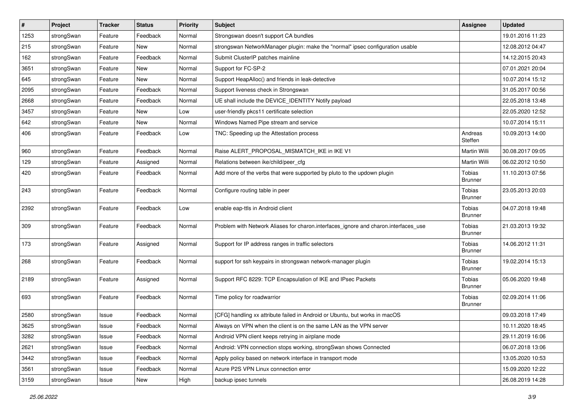| $\sharp$ | Project    | <b>Tracker</b> | <b>Status</b> | <b>Priority</b> | <b>Subject</b>                                                                      | <b>Assignee</b>                 | <b>Updated</b>   |
|----------|------------|----------------|---------------|-----------------|-------------------------------------------------------------------------------------|---------------------------------|------------------|
| 1253     | strongSwan | Feature        | Feedback      | Normal          | Strongswan doesn't support CA bundles                                               |                                 | 19.01.2016 11:23 |
| 215      | strongSwan | Feature        | New           | Normal          | strongswan NetworkManager plugin: make the "normal" ipsec configuration usable      |                                 | 12.08.2012 04:47 |
| 162      | strongSwan | Feature        | Feedback      | Normal          | Submit ClusterIP patches mainline                                                   |                                 | 14.12.2015 20:43 |
| 3651     | strongSwan | Feature        | New           | Normal          | Support for FC-SP-2                                                                 |                                 | 07.01.2021 20:04 |
| 645      | strongSwan | Feature        | New           | Normal          | Support HeapAlloc() and friends in leak-detective                                   |                                 | 10.07.2014 15:12 |
| 2095     | strongSwan | Feature        | Feedback      | Normal          | Support liveness check in Strongswan                                                |                                 | 31.05.2017 00:56 |
| 2668     | strongSwan | Feature        | Feedback      | Normal          | UE shall include the DEVICE IDENTITY Notify payload                                 |                                 | 22.05.2018 13:48 |
| 3457     | strongSwan | Feature        | New           | Low             | user-friendly pkcs11 certificate selection                                          |                                 | 22.05.2020 12:52 |
| 642      | strongSwan | Feature        | <b>New</b>    | Normal          | Windows Named Pipe stream and service                                               |                                 | 10.07.2014 15:11 |
| 406      | strongSwan | Feature        | Feedback      | Low             | TNC: Speeding up the Attestation process                                            | Andreas<br>Steffen              | 10.09.2013 14:00 |
| 960      | strongSwan | Feature        | Feedback      | Normal          | Raise ALERT_PROPOSAL_MISMATCH_IKE in IKE V1                                         | <b>Martin Willi</b>             | 30.08.2017 09:05 |
| 129      | strongSwan | Feature        | Assigned      | Normal          | Relations between ike/child/peer_cfg                                                | <b>Martin Willi</b>             | 06.02.2012 10:50 |
| 420      | strongSwan | Feature        | Feedback      | Normal          | Add more of the verbs that were supported by pluto to the updown plugin             | Tobias<br><b>Brunner</b>        | 11.10.2013 07:56 |
| 243      | strongSwan | Feature        | Feedback      | Normal          | Configure routing table in peer                                                     | Tobias<br><b>Brunner</b>        | 23.05.2013 20:03 |
| 2392     | strongSwan | Feature        | Feedback      | Low             | enable eap-ttls in Android client                                                   | <b>Tobias</b><br><b>Brunner</b> | 04.07.2018 19:48 |
| 309      | strongSwan | Feature        | Feedback      | Normal          | Problem with Network Aliases for charon.interfaces_ignore and charon.interfaces_use | Tobias<br><b>Brunner</b>        | 21.03.2013 19:32 |
| 173      | strongSwan | Feature        | Assigned      | Normal          | Support for IP address ranges in traffic selectors                                  | Tobias<br><b>Brunner</b>        | 14.06.2012 11:31 |
| 268      | strongSwan | Feature        | Feedback      | Normal          | support for ssh keypairs in strongswan network-manager plugin                       | Tobias<br><b>Brunner</b>        | 19.02.2014 15:13 |
| 2189     | strongSwan | Feature        | Assigned      | Normal          | Support RFC 8229: TCP Encapsulation of IKE and IPsec Packets                        | <b>Tobias</b><br><b>Brunner</b> | 05.06.2020 19:48 |
| 693      | strongSwan | Feature        | Feedback      | Normal          | Time policy for roadwarrior                                                         | Tobias<br><b>Brunner</b>        | 02.09.2014 11:06 |
| 2580     | strongSwan | Issue          | Feedback      | Normal          | [CFG] handling xx attribute failed in Android or Ubuntu, but works in macOS         |                                 | 09.03.2018 17:49 |
| 3625     | strongSwan | Issue          | Feedback      | Normal          | Always on VPN when the client is on the same LAN as the VPN server                  |                                 | 10.11.2020 18:45 |
| 3282     | strongSwan | Issue          | Feedback      | Normal          | Android VPN client keeps retrying in airplane mode                                  |                                 | 29.11.2019 16:06 |
| 2621     | strongSwan | Issue          | Feedback      | Normal          | Android: VPN connection stops working, strongSwan shows Connected                   |                                 | 06.07.2018 13:06 |
| 3442     | strongSwan | Issue          | Feedback      | Normal          | Apply policy based on network interface in transport mode                           |                                 | 13.05.2020 10:53 |
| 3561     | strongSwan | Issue          | Feedback      | Normal          | Azure P2S VPN Linux connection error                                                |                                 | 15.09.2020 12:22 |
| 3159     | strongSwan | Issue          | New           | High            | backup ipsec tunnels                                                                |                                 | 26.08.2019 14:28 |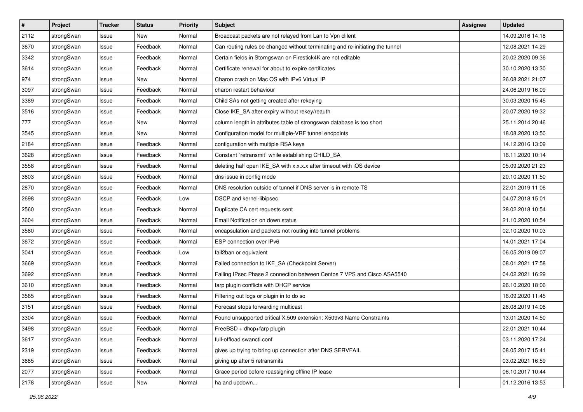| $\sharp$ | Project    | <b>Tracker</b> | <b>Status</b> | <b>Priority</b> | <b>Subject</b>                                                                | <b>Assignee</b> | <b>Updated</b>   |
|----------|------------|----------------|---------------|-----------------|-------------------------------------------------------------------------------|-----------------|------------------|
| 2112     | strongSwan | Issue          | New           | Normal          | Broadcast packets are not relayed from Lan to Vpn clilent                     |                 | 14.09.2016 14:18 |
| 3670     | strongSwan | Issue          | Feedback      | Normal          | Can routing rules be changed without terminating and re-initiating the tunnel |                 | 12.08.2021 14:29 |
| 3342     | strongSwan | Issue          | Feedback      | Normal          | Certain fields in Storngswan on Firestick4K are not editable                  |                 | 20.02.2020 09:36 |
| 3614     | strongSwan | Issue          | Feedback      | Normal          | Certificate renewal for about to expire certificates                          |                 | 30.10.2020 13:30 |
| 974      | strongSwan | Issue          | New           | Normal          | Charon crash on Mac OS with IPv6 Virtual IP                                   |                 | 26.08.2021 21:07 |
| 3097     | strongSwan | Issue          | Feedback      | Normal          | charon restart behaviour                                                      |                 | 24.06.2019 16:09 |
| 3389     | strongSwan | Issue          | Feedback      | Normal          | Child SAs not getting created after rekeying                                  |                 | 30.03.2020 15:45 |
| 3516     | strongSwan | Issue          | Feedback      | Normal          | Close IKE_SA after expiry without rekey/reauth                                |                 | 20.07.2020 19:32 |
| 777      | strongSwan | Issue          | New           | Normal          | column length in attributes table of strongswan database is too short         |                 | 25.11.2014 20:46 |
| 3545     | strongSwan | Issue          | New           | Normal          | Configuration model for multiple-VRF tunnel endpoints                         |                 | 18.08.2020 13:50 |
| 2184     | strongSwan | Issue          | Feedback      | Normal          | configuration with multiple RSA keys                                          |                 | 14.12.2016 13:09 |
| 3628     | strongSwan | Issue          | Feedback      | Normal          | Constant `retransmit` while establishing CHILD_SA                             |                 | 16.11.2020 10:14 |
| 3558     | strongSwan | Issue          | Feedback      | Normal          | deleting half open IKE_SA with x.x.x.x after timeout with iOS device          |                 | 05.09.2020 21:23 |
| 3603     | strongSwan | Issue          | Feedback      | Normal          | dns issue in config mode                                                      |                 | 20.10.2020 11:50 |
| 2870     | strongSwan | Issue          | Feedback      | Normal          | DNS resolution outside of tunnel if DNS server is in remote TS                |                 | 22.01.2019 11:06 |
| 2698     | strongSwan | Issue          | Feedback      | Low             | <b>DSCP</b> and kernel-libipsec                                               |                 | 04.07.2018 15:01 |
| 2560     | strongSwan | Issue          | Feedback      | Normal          | Duplicate CA cert requests sent                                               |                 | 28.02.2018 10:54 |
| 3604     | strongSwan | Issue          | Feedback      | Normal          | Email Notification on down status                                             |                 | 21.10.2020 10:54 |
| 3580     | strongSwan | Issue          | Feedback      | Normal          | encapsulation and packets not routing into tunnel problems                    |                 | 02.10.2020 10:03 |
| 3672     | strongSwan | Issue          | Feedback      | Normal          | ESP connection over IPv6                                                      |                 | 14.01.2021 17:04 |
| 3041     | strongSwan | Issue          | Feedback      | Low             | fail2ban or equivalent                                                        |                 | 06.05.2019 09:07 |
| 3669     | strongSwan | Issue          | Feedback      | Normal          | Failed connection to IKE_SA (Checkpoint Server)                               |                 | 08.01.2021 17:58 |
| 3692     | strongSwan | Issue          | Feedback      | Normal          | Failing IPsec Phase 2 connection between Centos 7 VPS and Cisco ASA5540       |                 | 04.02.2021 16:29 |
| 3610     | strongSwan | Issue          | Feedback      | Normal          | farp plugin conflicts with DHCP service                                       |                 | 26.10.2020 18:06 |
| 3565     | strongSwan | Issue          | Feedback      | Normal          | Filtering out logs or plugin in to do so                                      |                 | 16.09.2020 11:45 |
| 3151     | strongSwan | Issue          | Feedback      | Normal          | Forecast stops forwarding multicast                                           |                 | 26.08.2019 14:06 |
| 3304     | strongSwan | Issue          | Feedback      | Normal          | Found unsupported critical X.509 extension: X509v3 Name Constraints           |                 | 13.01.2020 14:50 |
| 3498     | strongSwan | Issue          | Feedback      | Normal          | FreeBSD + dhcp+farp plugin                                                    |                 | 22.01.2021 10:44 |
| 3617     | strongSwan | Issue          | Feedback      | Normal          | full-offload swanctl.conf                                                     |                 | 03.11.2020 17:24 |
| 2319     | strongSwan | Issue          | Feedback      | Normal          | gives up trying to bring up connection after DNS SERVFAIL                     |                 | 08.05.2017 15:41 |
| 3685     | strongSwan | Issue          | Feedback      | Normal          | giving up after 5 retransmits                                                 |                 | 03.02.2021 16:59 |
| 2077     | strongSwan | Issue          | Feedback      | Normal          | Grace period before reassigning offline IP lease                              |                 | 06.10.2017 10:44 |
| 2178     | strongSwan | Issue          | New           | Normal          | ha and updown                                                                 |                 | 01.12.2016 13:53 |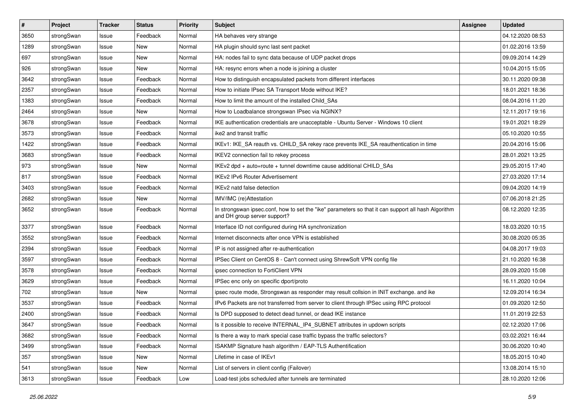| $\sharp$ | Project    | <b>Tracker</b> | <b>Status</b> | <b>Priority</b> | <b>Subject</b>                                                                                                                      | <b>Assignee</b> | <b>Updated</b>   |
|----------|------------|----------------|---------------|-----------------|-------------------------------------------------------------------------------------------------------------------------------------|-----------------|------------------|
| 3650     | strongSwan | Issue          | Feedback      | Normal          | HA behaves very strange                                                                                                             |                 | 04.12.2020 08:53 |
| 1289     | strongSwan | Issue          | <b>New</b>    | Normal          | HA plugin should sync last sent packet                                                                                              |                 | 01.02.2016 13:59 |
| 697      | strongSwan | Issue          | New           | Normal          | HA: nodes fail to sync data because of UDP packet drops                                                                             |                 | 09.09.2014 14:29 |
| 926      | strongSwan | Issue          | New           | Normal          | HA: resync errors when a node is joining a cluster                                                                                  |                 | 10.04.2015 15:05 |
| 3642     | strongSwan | Issue          | Feedback      | Normal          | How to distinguish encapsulated packets from different interfaces                                                                   |                 | 30.11.2020 09:38 |
| 2357     | strongSwan | Issue          | Feedback      | Normal          | How to initiate IPsec SA Transport Mode without IKE?                                                                                |                 | 18.01.2021 18:36 |
| 1383     | strongSwan | Issue          | Feedback      | Normal          | How to limit the amount of the installed Child_SAs                                                                                  |                 | 08.04.2016 11:20 |
| 2464     | strongSwan | Issue          | New           | Normal          | How to Loadbalance strongswan IPsec via NGINX?                                                                                      |                 | 12.11.2017 19:16 |
| 3678     | strongSwan | Issue          | Feedback      | Normal          | IKE authentication credentials are unacceptable - Ubuntu Server - Windows 10 client                                                 |                 | 19.01.2021 18:29 |
| 3573     | strongSwan | Issue          | Feedback      | Normal          | ike2 and transit traffic                                                                                                            |                 | 05.10.2020 10:55 |
| 1422     | strongSwan | Issue          | Feedback      | Normal          | IKEv1: IKE_SA reauth vs. CHILD_SA rekey race prevents IKE_SA reauthentication in time                                               |                 | 20.04.2016 15:06 |
| 3683     | strongSwan | Issue          | Feedback      | Normal          | IKEV2 connection fail to rekey process                                                                                              |                 | 28.01.2021 13:25 |
| 973      | strongSwan | Issue          | New           | Normal          | IKEv2 dpd + auto=route + tunnel downtime cause additional CHILD_SAs                                                                 |                 | 29.05.2015 17:40 |
| 817      | strongSwan | Issue          | Feedback      | Normal          | <b>IKEv2 IPv6 Router Advertisement</b>                                                                                              |                 | 27.03.2020 17:14 |
| 3403     | strongSwan | Issue          | Feedback      | Normal          | IKEv2 natd false detection                                                                                                          |                 | 09.04.2020 14:19 |
| 2682     | strongSwan | Issue          | New           | Normal          | IMV/IMC (re)Attestation                                                                                                             |                 | 07.06.2018 21:25 |
| 3652     | strongSwan | Issue          | Feedback      | Normal          | In strongswan ipsec.conf, how to set the "ike" parameters so that it can support all hash Algorithm<br>and DH group server support? |                 | 08.12.2020 12:35 |
| 3377     | strongSwan | Issue          | Feedback      | Normal          | Interface ID not configured during HA synchronization                                                                               |                 | 18.03.2020 10:15 |
| 3552     | strongSwan | Issue          | Feedback      | Normal          | Internet disconnects after once VPN is established                                                                                  |                 | 30.08.2020 05:35 |
| 2394     | strongSwan | Issue          | Feedback      | Normal          | IP is not assigned after re-authentication                                                                                          |                 | 04.08.2017 19:03 |
| 3597     | strongSwan | Issue          | Feedback      | Normal          | IPSec Client on CentOS 8 - Can't connect using ShrewSoft VPN config file                                                            |                 | 21.10.2020 16:38 |
| 3578     | strongSwan | Issue          | Feedback      | Normal          | ipsec connection to FortiClient VPN                                                                                                 |                 | 28.09.2020 15:08 |
| 3629     | strongSwan | Issue          | Feedback      | Normal          | IPSec enc only on specific dport/proto                                                                                              |                 | 16.11.2020 10:04 |
| 702      | strongSwan | Issue          | New           | Normal          | ipsec route mode, Strongswan as responder may result collsion in INIT exchange. and ike                                             |                 | 12.09.2014 16:34 |
| 3537     | strongSwan | Issue          | Feedback      | Normal          | IPv6 Packets are not transferred from server to client through IPSec using RPC protocol                                             |                 | 01.09.2020 12:50 |
| 2400     | strongSwan | Issue          | Feedback      | Normal          | Is DPD supposed to detect dead tunnel, or dead IKE instance                                                                         |                 | 11.01.2019 22:53 |
| 3647     | strongSwan | Issue          | Feedback      | Normal          | Is it possible to receive INTERNAL_IP4_SUBNET attributes in updown scripts                                                          |                 | 02.12.2020 17:06 |
| 3682     | strongSwan | Issue          | Feedback      | Normal          | Is there a way to mark special case traffic bypass the traffic selectors?                                                           |                 | 03.02.2021 16:44 |
| 3499     | strongSwan | Issue          | Feedback      | Normal          | ISAKMP Signature hash algorithm / EAP-TLS Authentification                                                                          |                 | 30.06.2020 10:40 |
| 357      | strongSwan | Issue          | New           | Normal          | Lifetime in case of IKEv1                                                                                                           |                 | 18.05.2015 10:40 |
| 541      | strongSwan | Issue          | New           | Normal          | List of servers in client config (Failover)                                                                                         |                 | 13.08.2014 15:10 |
| 3613     | strongSwan | Issue          | Feedback      | Low             | Load-test jobs scheduled after tunnels are terminated                                                                               |                 | 28.10.2020 12:06 |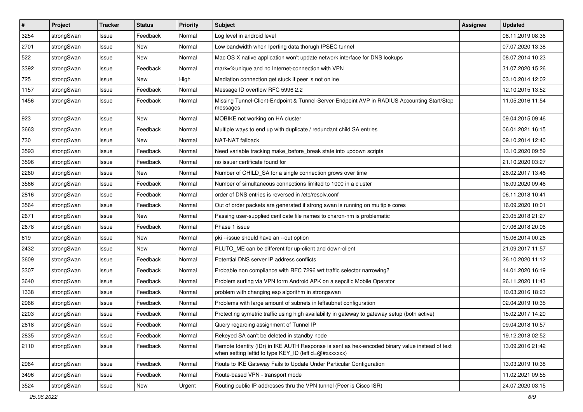| #    | Project    | <b>Tracker</b> | <b>Status</b> | <b>Priority</b> | <b>Subject</b>                                                                                                                                          | Assignee | <b>Updated</b>   |
|------|------------|----------------|---------------|-----------------|---------------------------------------------------------------------------------------------------------------------------------------------------------|----------|------------------|
| 3254 | strongSwan | Issue          | Feedback      | Normal          | Log level in android level                                                                                                                              |          | 08.11.2019 08:36 |
| 2701 | strongSwan | Issue          | <b>New</b>    | Normal          | Low bandwidth when Iperfing data thorugh IPSEC tunnel                                                                                                   |          | 07.07.2020 13:38 |
| 522  | strongSwan | Issue          | New           | Normal          | Mac OS X native application won't update network interface for DNS lookups                                                                              |          | 08.07.2014 10:23 |
| 3392 | strongSwan | Issue          | Feedback      | Normal          | mark=%unique and no Internet-connection with VPN                                                                                                        |          | 31.07.2020 15:26 |
| 725  | strongSwan | Issue          | <b>New</b>    | High            | Mediation connection get stuck if peer is not online                                                                                                    |          | 03.10.2014 12:02 |
| 1157 | strongSwan | Issue          | Feedback      | Normal          | Message ID overflow RFC 5996 2.2                                                                                                                        |          | 12.10.2015 13:52 |
| 1456 | strongSwan | Issue          | Feedback      | Normal          | Missing Tunnel-Client-Endpoint & Tunnel-Server-Endpoint AVP in RADIUS Accounting Start/Stop<br>messages                                                 |          | 11.05.2016 11:54 |
| 923  | strongSwan | Issue          | <b>New</b>    | Normal          | MOBIKE not working on HA cluster                                                                                                                        |          | 09.04.2015 09:46 |
| 3663 | strongSwan | Issue          | Feedback      | Normal          | Multiple ways to end up with duplicate / redundant child SA entries                                                                                     |          | 06.01.2021 16:15 |
| 730  | strongSwan | Issue          | New           | Normal          | NAT-NAT fallback                                                                                                                                        |          | 09.10.2014 12:40 |
| 3593 | strongSwan | Issue          | Feedback      | Normal          | Need variable tracking make_before_break state into updown scripts                                                                                      |          | 13.10.2020 09:59 |
| 3596 | strongSwan | Issue          | Feedback      | Normal          | no issuer certificate found for                                                                                                                         |          | 21.10.2020 03:27 |
| 2260 | strongSwan | Issue          | New           | Normal          | Number of CHILD_SA for a single connection grows over time                                                                                              |          | 28.02.2017 13:46 |
| 3566 | strongSwan | Issue          | Feedback      | Normal          | Number of simultaneous connections limited to 1000 in a cluster                                                                                         |          | 18.09.2020 09:46 |
| 2816 | strongSwan | Issue          | Feedback      | Normal          | order of DNS entries is reversed in /etc/resolv.conf                                                                                                    |          | 06.11.2018 10:41 |
| 3564 | strongSwan | Issue          | Feedback      | Normal          | Out of order packets are generated if strong swan is running on multiple cores                                                                          |          | 16.09.2020 10:01 |
| 2671 | strongSwan | Issue          | New           | Normal          | Passing user-supplied cerificate file names to charon-nm is problematic                                                                                 |          | 23.05.2018 21:27 |
| 2678 | strongSwan | Issue          | Feedback      | Normal          | Phase 1 issue                                                                                                                                           |          | 07.06.2018 20:06 |
| 619  | strongSwan | Issue          | New           | Normal          | pki --issue should have an --out option                                                                                                                 |          | 15.06.2014 00:26 |
| 2432 | strongSwan | Issue          | <b>New</b>    | Normal          | PLUTO_ME can be different for up-client and down-client                                                                                                 |          | 21.09.2017 11:57 |
| 3609 | strongSwan | Issue          | Feedback      | Normal          | Potential DNS server IP address conflicts                                                                                                               |          | 26.10.2020 11:12 |
| 3307 | strongSwan | Issue          | Feedback      | Normal          | Probable non compliance with RFC 7296 wrt traffic selector narrowing?                                                                                   |          | 14.01.2020 16:19 |
| 3640 | strongSwan | Issue          | Feedback      | Normal          | Problem surfing via VPN form Android APK on a sepcific Mobile Operator                                                                                  |          | 26.11.2020 11:43 |
| 1338 | strongSwan | Issue          | Feedback      | Normal          | problem with changing esp algorithm in strongswan                                                                                                       |          | 10.03.2016 18:23 |
| 2966 | strongSwan | Issue          | Feedback      | Normal          | Problems with large amount of subnets in leftsubnet configuration                                                                                       |          | 02.04.2019 10:35 |
| 2203 | strongSwan | Issue          | Feedback      | Normal          | Protecting symetric traffic using high availability in gateway to gateway setup (both active)                                                           |          | 15.02.2017 14:20 |
| 2618 | strongSwan | Issue          | Feedback      | Normal          | Query regarding assignment of Tunnel IP                                                                                                                 |          | 09.04.2018 10:57 |
| 2835 | strongSwan | Issue          | Feedback      | Normal          | Rekeyed SA can't be deleted in standby node                                                                                                             |          | 19.12.2018 02:52 |
| 2110 | strongSwan | Issue          | Feedback      | Normal          | Remote Identity (IDr) in IKE AUTH Response is sent as hex-encoded binary value instead of text<br>when setting leftid to type KEY_ID (leftid=@#xxxxxxx) |          | 13.09.2016 21:42 |
| 2964 | strongSwan | Issue          | Feedback      | Normal          | Route to IKE Gateway Fails to Update Under Particular Configuration                                                                                     |          | 13.03.2019 10:38 |
| 3496 | strongSwan | Issue          | Feedback      | Normal          | Route-based VPN - transport mode                                                                                                                        |          | 11.02.2021 09:55 |
| 3524 | strongSwan | Issue          | New           | Urgent          | Routing public IP addresses thru the VPN tunnel (Peer is Cisco ISR)                                                                                     |          | 24.07.2020 03:15 |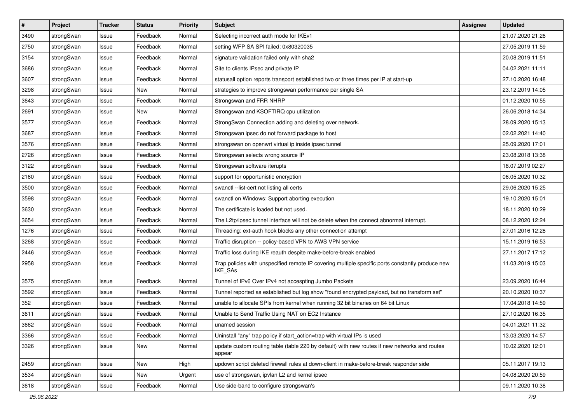| $\vert$ # | Project    | <b>Tracker</b> | <b>Status</b> | <b>Priority</b> | <b>Subject</b>                                                                                              | Assignee | <b>Updated</b>   |
|-----------|------------|----------------|---------------|-----------------|-------------------------------------------------------------------------------------------------------------|----------|------------------|
| 3490      | strongSwan | Issue          | Feedback      | Normal          | Selecting incorrect auth mode for IKEv1                                                                     |          | 21.07.2020 21:26 |
| 2750      | strongSwan | Issue          | Feedback      | Normal          | setting WFP SA SPI failed: 0x80320035                                                                       |          | 27.05.2019 11:59 |
| 3154      | strongSwan | Issue          | Feedback      | Normal          | signature validation failed only with sha2                                                                  |          | 20.08.2019 11:51 |
| 3686      | strongSwan | Issue          | Feedback      | Normal          | Site to clients IPsec and private IP                                                                        |          | 04.02.2021 11:11 |
| 3607      | strongSwan | Issue          | Feedback      | Normal          | statusall option reports transport established two or three times per IP at start-up                        |          | 27.10.2020 16:48 |
| 3298      | strongSwan | Issue          | New           | Normal          | strategies to improve strongswan performance per single SA                                                  |          | 23.12.2019 14:05 |
| 3643      | strongSwan | Issue          | Feedback      | Normal          | Strongswan and FRR NHRP                                                                                     |          | 01.12.2020 10:55 |
| 2691      | strongSwan | Issue          | New           | Normal          | Strongswan and KSOFTIRQ cpu utilization                                                                     |          | 26.06.2018 14:34 |
| 3577      | strongSwan | Issue          | Feedback      | Normal          | StrongSwan Connection adding and deleting over network.                                                     |          | 28.09.2020 15:13 |
| 3687      | strongSwan | Issue          | Feedback      | Normal          | Strongswan ipsec do not forward package to host                                                             |          | 02.02.2021 14:40 |
| 3576      | strongSwan | Issue          | Feedback      | Normal          | strongswan on openwrt virtual ip inside ipsec tunnel                                                        |          | 25.09.2020 17:01 |
| 2726      | strongSwan | Issue          | Feedback      | Normal          | Strongswan selects wrong source IP                                                                          |          | 23.08.2018 13:38 |
| 3122      | strongSwan | Issue          | Feedback      | Normal          | Strongswan software iterupts                                                                                |          | 18.07.2019 02:27 |
| 2160      | strongSwan | lssue          | Feedback      | Normal          | support for opportunistic encryption                                                                        |          | 06.05.2020 10:32 |
| 3500      | strongSwan | Issue          | Feedback      | Normal          | swanctl --list-cert not listing all certs                                                                   |          | 29.06.2020 15:25 |
| 3598      | strongSwan | Issue          | Feedback      | Normal          | swanctl on Windows: Support aborting execution                                                              |          | 19.10.2020 15:01 |
| 3630      | strongSwan | Issue          | Feedback      | Normal          | The certificate is loaded but not used.                                                                     |          | 18.11.2020 10:29 |
| 3654      | strongSwan | Issue          | Feedback      | Normal          | The L2tp/ipsec tunnel interface will not be delete when the connect abnormal interrupt.                     |          | 08.12.2020 12:24 |
| 1276      | strongSwan | Issue          | Feedback      | Normal          | Threading: ext-auth hook blocks any other connection attempt                                                |          | 27.01.2016 12:28 |
| 3268      | strongSwan | Issue          | Feedback      | Normal          | Traffic disruption -- policy-based VPN to AWS VPN service                                                   |          | 15.11.2019 16:53 |
| 2446      | strongSwan | Issue          | Feedback      | Normal          | Traffic loss during IKE reauth despite make-before-break enabled                                            |          | 27.11.2017 17:12 |
| 2958      | strongSwan | Issue          | Feedback      | Normal          | Trap policies with unspecified remote IP covering multiple specific ports constantly produce new<br>IKE_SAs |          | 11.03.2019 15:03 |
| 3575      | strongSwan | Issue          | Feedback      | Normal          | Tunnel of IPv6 Over IPv4 not accespting Jumbo Packets                                                       |          | 23.09.2020 16:44 |
| 3592      | strongSwan | Issue          | Feedback      | Normal          | Tunnel reported as established but log show "found encrypted payload, but no transform set"                 |          | 20.10.2020 10:37 |
| 352       | strongSwan | Issue          | Feedback      | Normal          | unable to allocate SPIs from kernel when running 32 bit binaries on 64 bit Linux                            |          | 17.04.2018 14:59 |
| 3611      | strongSwan | Issue          | Feedback      | Normal          | Unable to Send Traffic Using NAT on EC2 Instance                                                            |          | 27.10.2020 16:35 |
| 3662      | strongSwan | Issue          | Feedback      | Normal          | unamed session                                                                                              |          | 04.01.2021 11:32 |
| 3366      | strongSwan | Issue          | Feedback      | Normal          | Uninstall "any" trap policy if start_action=trap with virtual IPs is used                                   |          | 13.03.2020 14:57 |
| 3326      | strongSwan | Issue          | New           | Normal          | update custom routing table (table 220 by default) with new routes if new networks and routes<br>appear     |          | 10.02.2020 12:01 |
| 2459      | strongSwan | Issue          | New           | High            | updown script deleted firewall rules at down-client in make-before-break responder side                     |          | 05.11.2017 19:13 |
| 3534      | strongSwan | Issue          | New           | Urgent          | use of strongswan, ipvlan L2 and kernel ipsec                                                               |          | 04.08.2020 20:59 |
| 3618      | strongSwan | Issue          | Feedback      | Normal          | Use side-band to configure strongswan's                                                                     |          | 09.11.2020 10:38 |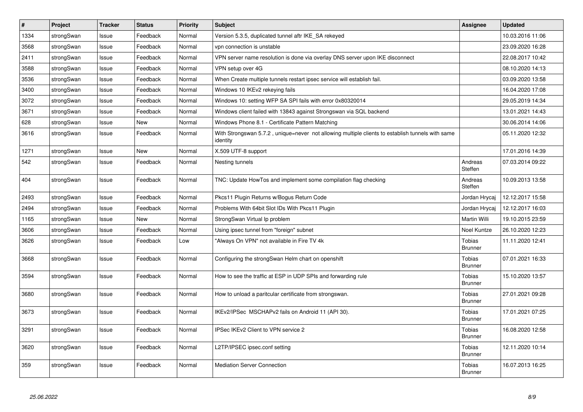| $\vert$ # | <b>Project</b> | <b>Tracker</b> | <b>Status</b> | Priority | <b>Subject</b>                                                                                               | Assignee                        | <b>Updated</b>   |
|-----------|----------------|----------------|---------------|----------|--------------------------------------------------------------------------------------------------------------|---------------------------------|------------------|
| 1334      | strongSwan     | Issue          | Feedback      | Normal   | Version 5.3.5, duplicated tunnel aftr IKE_SA rekeyed                                                         |                                 | 10.03.2016 11:06 |
| 3568      | strongSwan     | Issue          | Feedback      | Normal   | vpn connection is unstable                                                                                   |                                 | 23.09.2020 16:28 |
| 2411      | strongSwan     | Issue          | Feedback      | Normal   | VPN server name resolution is done via overlay DNS server upon IKE disconnect                                |                                 | 22.08.2017 10:42 |
| 3588      | strongSwan     | Issue          | Feedback      | Normal   | VPN setup over 4G                                                                                            |                                 | 08.10.2020 14:13 |
| 3536      | strongSwan     | Issue          | Feedback      | Normal   | When Create multiple tunnels restart ipsec service will establish fail.                                      |                                 | 03.09.2020 13:58 |
| 3400      | strongSwan     | Issue          | Feedback      | Normal   | Windows 10 IKEv2 rekeying fails                                                                              |                                 | 16.04.2020 17:08 |
| 3072      | strongSwan     | Issue          | Feedback      | Normal   | Windows 10: setting WFP SA SPI fails with error 0x80320014                                                   |                                 | 29.05.2019 14:34 |
| 3671      | strongSwan     | Issue          | Feedback      | Normal   | Windows client failed with 13843 against Strongswan via SQL backend                                          |                                 | 13.01.2021 14:43 |
| 628       | strongSwan     | Issue          | New           | Normal   | Windows Phone 8.1 - Certificate Pattern Matching                                                             |                                 | 30.06.2014 14:06 |
| 3616      | strongSwan     | Issue          | Feedback      | Normal   | With Strongswan 5.7.2, unique=never not allowing multiple clients to establish tunnels with same<br>identity |                                 | 05.11.2020 12:32 |
| 1271      | strongSwan     | Issue          | <b>New</b>    | Normal   | X.509 UTF-8 support                                                                                          |                                 | 17.01.2016 14:39 |
| 542       | strongSwan     | Issue          | Feedback      | Normal   | Nesting tunnels                                                                                              | Andreas<br>Steffen              | 07.03.2014 09:22 |
| 404       | strongSwan     | Issue          | Feedback      | Normal   | TNC: Update HowTos and implement some compilation flag checking                                              | Andreas<br>Steffen              | 10.09.2013 13:58 |
| 2493      | strongSwan     | Issue          | Feedback      | Normal   | Pkcs11 Plugin Returns w/Bogus Return Code                                                                    | Jordan Hrycai                   | 12.12.2017 15:58 |
| 2494      | strongSwan     | Issue          | Feedback      | Normal   | Problems With 64bit Slot IDs With Pkcs11 Plugin                                                              | Jordan Hrycaj                   | 12.12.2017 16:03 |
| 1165      | strongSwan     | Issue          | <b>New</b>    | Normal   | StrongSwan Virtual Ip problem                                                                                | <b>Martin Willi</b>             | 19.10.2015 23:59 |
| 3606      | strongSwan     | Issue          | Feedback      | Normal   | Using ipsec tunnel from "foreign" subnet                                                                     | Noel Kuntze                     | 26.10.2020 12:23 |
| 3626      | strongSwan     | Issue          | Feedback      | Low      | "Always On VPN" not available in Fire TV 4k                                                                  | Tobias<br><b>Brunner</b>        | 11.11.2020 12:41 |
| 3668      | strongSwan     | Issue          | Feedback      | Normal   | Configuring the strongSwan Helm chart on openshift                                                           | <b>Tobias</b><br><b>Brunner</b> | 07.01.2021 16:33 |
| 3594      | strongSwan     | Issue          | Feedback      | Normal   | How to see the traffic at ESP in UDP SPIs and forwarding rule                                                | Tobias<br><b>Brunner</b>        | 15.10.2020 13:57 |
| 3680      | strongSwan     | Issue          | Feedback      | Normal   | How to unload a paritcular certificate from strongswan.                                                      | Tobias<br><b>Brunner</b>        | 27.01.2021 09:28 |
| 3673      | strongSwan     | Issue          | Feedback      | Normal   | IKEv2/IPSec MSCHAPv2 fails on Android 11 (API 30).                                                           | Tobias<br><b>Brunner</b>        | 17.01.2021 07:25 |
| 3291      | strongSwan     | Issue          | Feedback      | Normal   | IPSec IKEv2 Client to VPN service 2                                                                          | Tobias<br><b>Brunner</b>        | 16.08.2020 12:58 |
| 3620      | strongSwan     | Issue          | Feedback      | Normal   | L2TP/IPSEC ipsec.conf setting                                                                                | Tobias<br><b>Brunner</b>        | 12.11.2020 10:14 |
| 359       | strongSwan     | Issue          | Feedback      | Normal   | <b>Mediation Server Connection</b>                                                                           | Tobias<br><b>Brunner</b>        | 16.07.2013 16:25 |